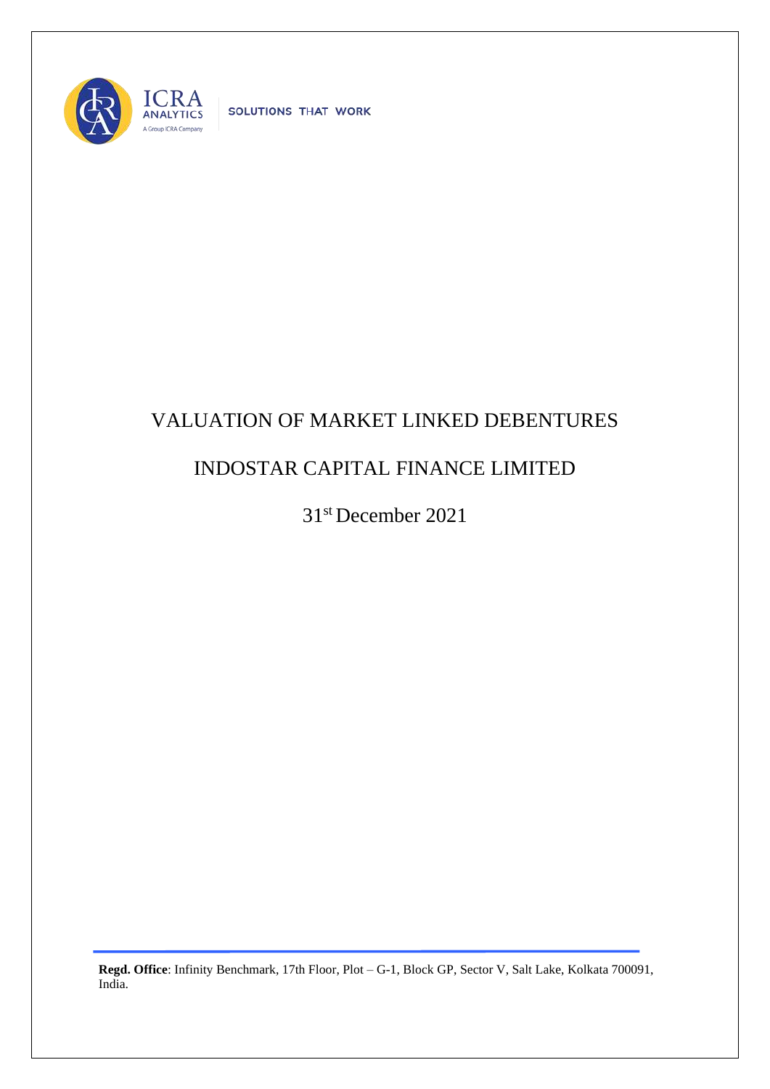

SOLUTIONS THAT WORK

## VALUATION OF MARKET LINKED DEBENTURES

## INDOSTAR CAPITAL FINANCE LIMITED

31st December 2021

**Regd. Office**: Infinity Benchmark, 17th Floor, Plot – G-1, Block GP, Sector V, Salt Lake, Kolkata 700091, India.